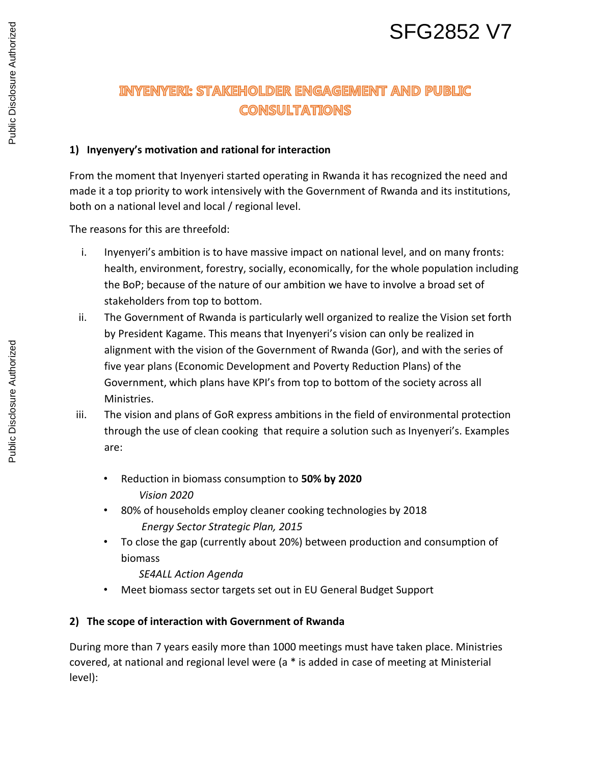# SFG2852 V7

# **INYENYERI: STAKEHOLDER ENGAGEMENT AND PUBLIC CONSULTATIONS**

#### **1) Inyenyery's motivation and rational for interaction**

From the moment that Inyenyeri started operating in Rwanda it has recognized the need and made it a top priority to work intensively with the Government of Rwanda and its institutions, both on a national level and local / regional level.

The reasons for this are threefold:

- i. Inyenyeri's ambition is to have massive impact on national level, and on many fronts: health, environment, forestry, socially, economically, for the whole population including the BoP; because of the nature of our ambition we have to involve a broad set of stakeholders from top to bottom.
- ii. The Government of Rwanda is particularly well organized to realize the Vision set forth by President Kagame. This means that Inyenyeri's vision can only be realized in alignment with the vision of the Government of Rwanda (Gor), and with the series of five year plans (Economic Development and Poverty Reduction Plans) of the Government, which plans have KPI's from top to bottom of the society across all Ministries.
- iii. The vision and plans of GoR express ambitions in the field of environmental protection through the use of clean cooking that require a solution such as Inyenyeri's. Examples are:
	- Reduction in biomass consumption to **50% by 2020** *Vision 2020*
	- 80% of households employ cleaner cooking technologies by 2018 *Energy Sector Strategic Plan, 2015*
	- To close the gap (currently about 20%) between production and consumption of biomass

#### *SE4ALL Action Agenda*

• Meet biomass sector targets set out in EU General Budget Support

#### **2) The scope of interaction with Government of Rwanda**

During more than 7 years easily more than 1000 meetings must have taken place. Ministries covered, at national and regional level were (a \* is added in case of meeting at Ministerial level):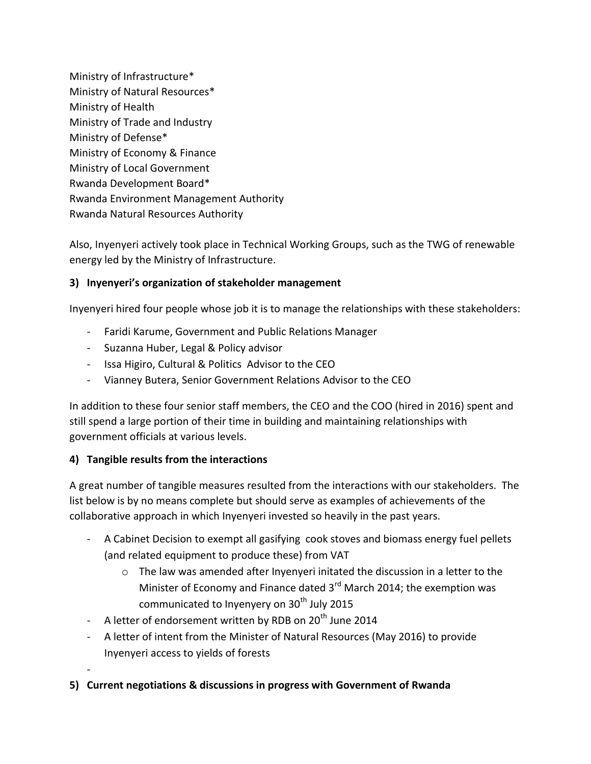Ministry of Infrastructure\* Ministry of Natural Resources\* Ministry of Health Ministry of Trade and Industry Ministry of Defense\* Ministry of Economy & Finance Ministry of Local Government Rwanda Development Board\* Rwanda Environment Management Authority Rwanda Natural Resources Authority

Also, Inyenyeri actively took place in Technical Working Groups, such as the TWG of renewable energy led by the Ministry of Infrastructure.

#### **3) Inyenyeri's organization of stakeholder management**

Inyenyeri hired four people whose job it is to manage the relationships with these stakeholders:

- Faridi Karume, Government and Public Relations Manager
- Suzanna Huber, Legal & Policy advisor
- Issa Higiro, Cultural & Politics Advisor to the CEO
- Vianney Butera, Senior Government Relations Advisor to the CEO

In addition to these four senior staff members, the CEO and the COO (hired in 2016) spent and still spend a large portion of their time in building and maintaining relationships with government officials at various levels.

#### **4) Tangible results from the interactions**

-

A great number of tangible measures resulted from the interactions with our stakeholders. The list below is by no means complete but should serve as examples of achievements of the collaborative approach in which Inyenyeri invested so heavily in the past years.

- A Cabinet Decision to exempt all gasifying cook stoves and biomass energy fuel pellets (and related equipment to produce these) from VAT
	- o The law was amended after Inyenyeri initated the discussion in a letter to the Minister of Economy and Finance dated  $3<sup>rd</sup>$  March 2014; the exemption was communicated to Inyenyery on 30<sup>th</sup> July 2015
- A letter of endorsement written by RDB on 20<sup>th</sup> June 2014
- A letter of intent from the Minister of Natural Resources (May 2016) to provide Inyenyeri access to yields of forests
- **5) Current negotiations & discussions in progress with Government of Rwanda**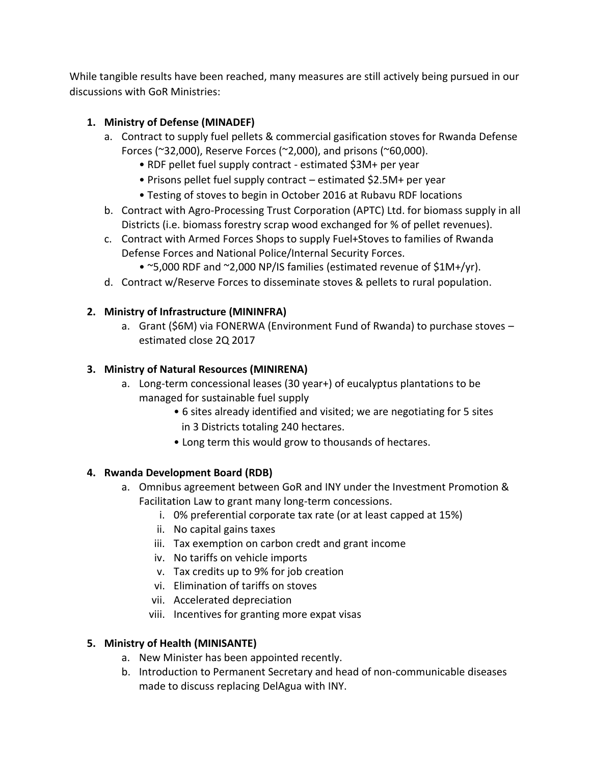While tangible results have been reached, many measures are still actively being pursued in our discussions with GoR Ministries:

## **1. Ministry of Defense (MINADEF)**

- a. Contract to supply fuel pellets & commercial gasification stoves for Rwanda Defense Forces (~32,000), Reserve Forces (~2,000), and prisons (~60,000).
	- RDF pellet fuel supply contract estimated \$3M+ per year
	- Prisons pellet fuel supply contract estimated \$2.5M+ per year
	- Testing of stoves to begin in October 2016 at Rubavu RDF locations
- b. Contract with Agro-Processing Trust Corporation (APTC) Ltd. for biomass supply in all Districts (i.e. biomass forestry scrap wood exchanged for % of pellet revenues).
- c. Contract with Armed Forces Shops to supply Fuel+Stoves to families of Rwanda Defense Forces and National Police/Internal Security Forces.
	- ~5,000 RDF and ~2,000 NP/IS families (estimated revenue of \$1M+/yr).
- d. Contract w/Reserve Forces to disseminate stoves & pellets to rural population.

### **2. Ministry of Infrastructure (MININFRA)**

a. Grant (\$6M) via FONERWA (Environment Fund of Rwanda) to purchase stoves – estimated close 2Q 2017

### **3. Ministry of Natural Resources (MINIRENA)**

- a. Long-term concessional leases (30 year+) of eucalyptus plantations to be managed for sustainable fuel supply
	- 6 sites already identified and visited; we are negotiating for 5 sites in 3 Districts totaling 240 hectares.
	- Long term this would grow to thousands of hectares.

#### **4. Rwanda Development Board (RDB)**

- a. Omnibus agreement between GoR and INY under the Investment Promotion & Facilitation Law to grant many long-term concessions.
	- i. 0% preferential corporate tax rate (or at least capped at 15%)
	- ii. No capital gains taxes
	- iii. Tax exemption on carbon credt and grant income
	- iv. No tariffs on vehicle imports
	- v. Tax credits up to 9% for job creation
	- vi. Elimination of tariffs on stoves
	- vii. Accelerated depreciation
	- viii. Incentives for granting more expat visas

# **5. Ministry of Health (MINISANTE)**

- a. New Minister has been appointed recently.
- b. Introduction to Permanent Secretary and head of non-communicable diseases made to discuss replacing DelAgua with INY.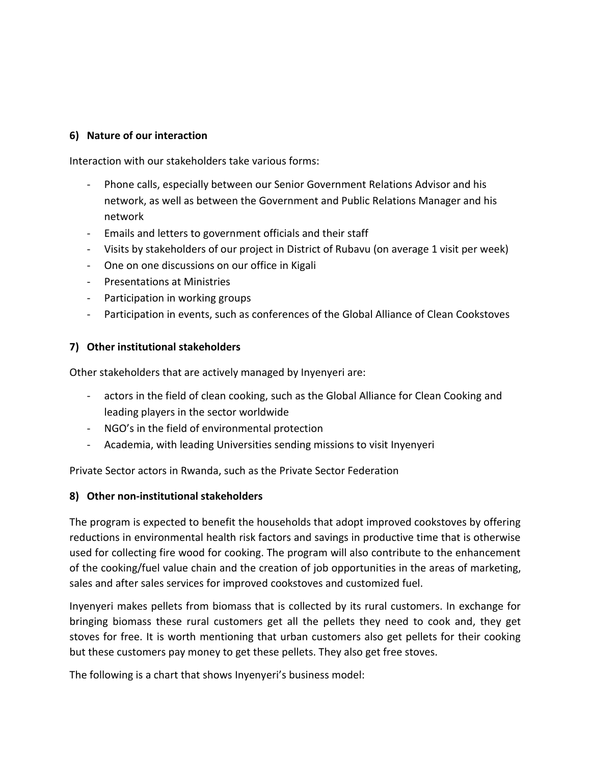#### **6) Nature of our interaction**

Interaction with our stakeholders take various forms:

- Phone calls, especially between our Senior Government Relations Advisor and his network, as well as between the Government and Public Relations Manager and his network
- Emails and letters to government officials and their staff
- Visits by stakeholders of our project in District of Rubavu (on average 1 visit per week)
- One on one discussions on our office in Kigali
- Presentations at Ministries
- Participation in working groups
- Participation in events, such as conferences of the Global Alliance of Clean Cookstoves

#### **7) Other institutional stakeholders**

Other stakeholders that are actively managed by Inyenyeri are:

- actors in the field of clean cooking, such as the Global Alliance for Clean Cooking and leading players in the sector worldwide
- NGO's in the field of environmental protection
- Academia, with leading Universities sending missions to visit Inyenyeri

Private Sector actors in Rwanda, such as the Private Sector Federation

#### **8) Other non-institutional stakeholders**

The program is expected to benefit the households that adopt improved cookstoves by offering reductions in environmental health risk factors and savings in productive time that is otherwise used for collecting fire wood for cooking. The program will also contribute to the enhancement of the cooking/fuel value chain and the creation of job opportunities in the areas of marketing, sales and after sales services for improved cookstoves and customized fuel.

Inyenyeri makes pellets from biomass that is collected by its rural customers. In exchange for bringing biomass these rural customers get all the pellets they need to cook and, they get stoves for free. It is worth mentioning that urban customers also get pellets for their cooking but these customers pay money to get these pellets. They also get free stoves.

The following is a chart that shows Inyenyeri's business model: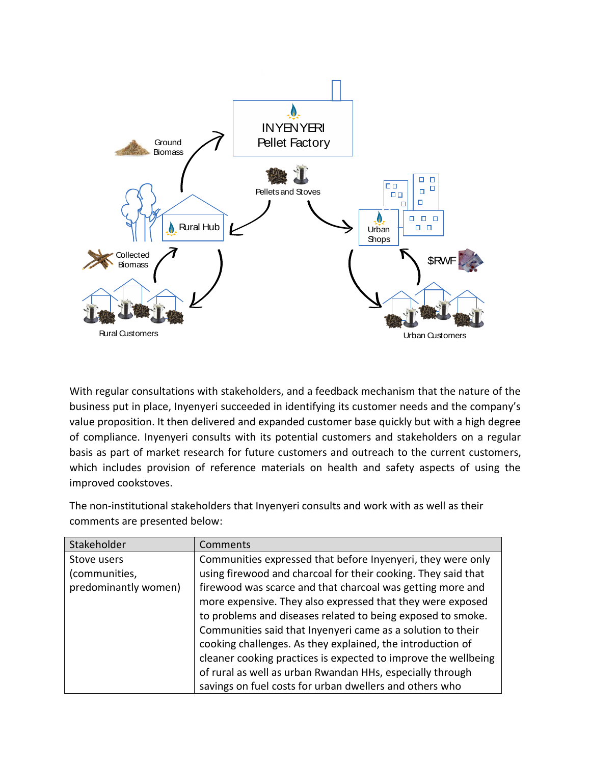

With regular consultations with stakeholders, and a feedback mechanism that the nature of the business put in place, Inyenyeri succeeded in identifying its customer needs and the company's value proposition. It then delivered and expanded customer base quickly but with a high degree of compliance. Inyenyeri consults with its potential customers and stakeholders on a regular basis as part of market research for future customers and outreach to the current customers, which includes provision of reference materials on health and safety aspects of using the improved cookstoves.

The non-institutional stakeholders that Inyenyeri consults and work with as well as their comments are presented below:

| Stakeholder          | Comments                                                       |
|----------------------|----------------------------------------------------------------|
| Stove users          | Communities expressed that before Inyenyeri, they were only    |
| (communities,        | using firewood and charcoal for their cooking. They said that  |
| predominantly women) | firewood was scarce and that charcoal was getting more and     |
|                      | more expensive. They also expressed that they were exposed     |
|                      | to problems and diseases related to being exposed to smoke.    |
|                      | Communities said that Inyenyeri came as a solution to their    |
|                      | cooking challenges. As they explained, the introduction of     |
|                      | cleaner cooking practices is expected to improve the wellbeing |
|                      | of rural as well as urban Rwandan HHs, especially through      |
|                      | savings on fuel costs for urban dwellers and others who        |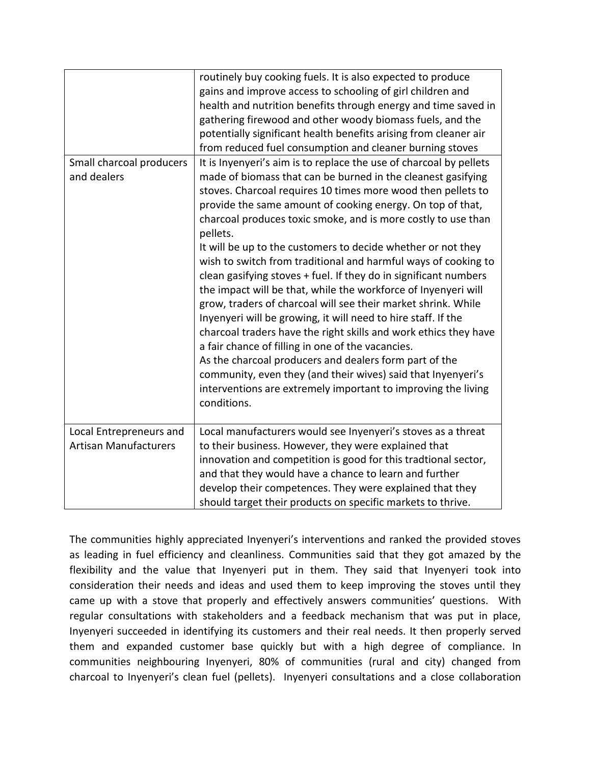|                                                         | routinely buy cooking fuels. It is also expected to produce<br>gains and improve access to schooling of girl children and<br>health and nutrition benefits through energy and time saved in<br>gathering firewood and other woody biomass fuels, and the<br>potentially significant health benefits arising from cleaner air<br>from reduced fuel consumption and cleaner burning stoves                                                                                                                                                                                                                                                                                                                                                                                                                                                                                                                                                                                                                                                                                                   |
|---------------------------------------------------------|--------------------------------------------------------------------------------------------------------------------------------------------------------------------------------------------------------------------------------------------------------------------------------------------------------------------------------------------------------------------------------------------------------------------------------------------------------------------------------------------------------------------------------------------------------------------------------------------------------------------------------------------------------------------------------------------------------------------------------------------------------------------------------------------------------------------------------------------------------------------------------------------------------------------------------------------------------------------------------------------------------------------------------------------------------------------------------------------|
| Small charcoal producers<br>and dealers                 | It is Inyenyeri's aim is to replace the use of charcoal by pellets<br>made of biomass that can be burned in the cleanest gasifying<br>stoves. Charcoal requires 10 times more wood then pellets to<br>provide the same amount of cooking energy. On top of that,<br>charcoal produces toxic smoke, and is more costly to use than<br>pellets.<br>It will be up to the customers to decide whether or not they<br>wish to switch from traditional and harmful ways of cooking to<br>clean gasifying stoves + fuel. If they do in significant numbers<br>the impact will be that, while the workforce of Inyenyeri will<br>grow, traders of charcoal will see their market shrink. While<br>Inyenyeri will be growing, it will need to hire staff. If the<br>charcoal traders have the right skills and work ethics they have<br>a fair chance of filling in one of the vacancies.<br>As the charcoal producers and dealers form part of the<br>community, even they (and their wives) said that Inyenyeri's<br>interventions are extremely important to improving the living<br>conditions. |
| Local Entrepreneurs and<br><b>Artisan Manufacturers</b> | Local manufacturers would see Inyenyeri's stoves as a threat<br>to their business. However, they were explained that<br>innovation and competition is good for this tradtional sector,<br>and that they would have a chance to learn and further<br>develop their competences. They were explained that they<br>should target their products on specific markets to thrive.                                                                                                                                                                                                                                                                                                                                                                                                                                                                                                                                                                                                                                                                                                                |

The communities highly appreciated Inyenyeri's interventions and ranked the provided stoves as leading in fuel efficiency and cleanliness. Communities said that they got amazed by the flexibility and the value that Inyenyeri put in them. They said that Inyenyeri took into consideration their needs and ideas and used them to keep improving the stoves until they came up with a stove that properly and effectively answers communities' questions. With regular consultations with stakeholders and a feedback mechanism that was put in place, Inyenyeri succeeded in identifying its customers and their real needs. It then properly served them and expanded customer base quickly but with a high degree of compliance. In communities neighbouring Inyenyeri, 80% of communities (rural and city) changed from charcoal to Inyenyeri's clean fuel (pellets). Inyenyeri consultations and a close collaboration